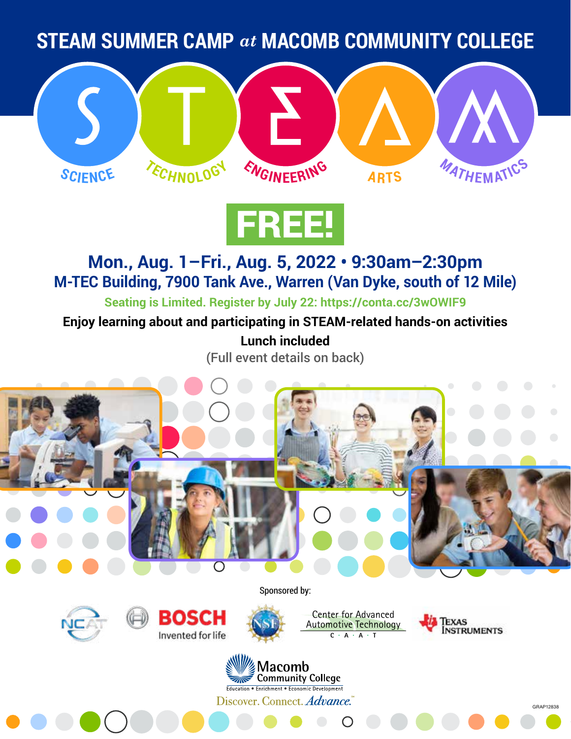**STEAM SUMMER CAMP** *at* **MACOMB COMMUNITY COLLEGE**





## **Mon., Aug. 1–Fri., Aug. 5, 2022 • 9:30am–2:30pm M-TEC Building, 7900 Tank Ave., Warren (Van Dyke, south of 12 Mile)**

**Seating is Limited. Register by July 22: <https://conta.cc/3wOWIF9>**

**Enjoy learning about and participating in STEAM-related hands-on activities**

**Lunch included** (Full event details on back)